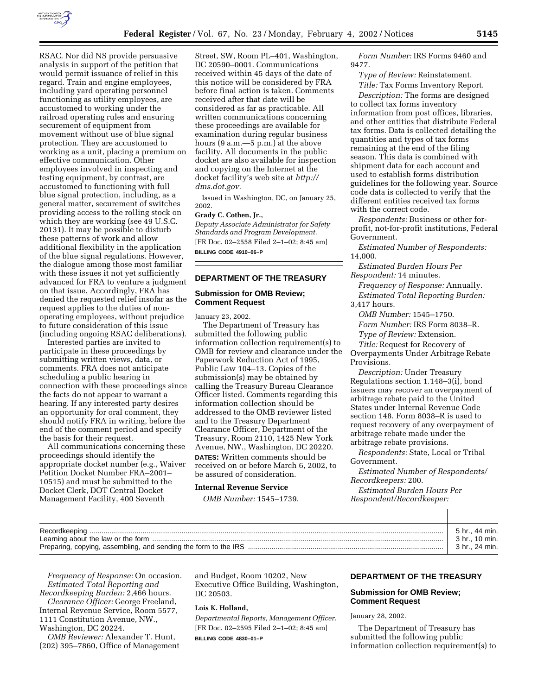

RSAC. Nor did NS provide persuasive analysis in support of the petition that would permit issuance of relief in this regard. Train and engine employees, including yard operating personnel functioning as utility employees, are accustomed to working under the railroad operating rules and ensuring securement of equipment from movement without use of blue signal protection. They are accustomed to working as a unit, placing a premium on effective communication. Other employees involved in inspecting and testing equipment, by contrast, are accustomed to functioning with full blue signal protection, including, as a general matter, securement of switches providing access to the rolling stock on which they are working (see 49 U.S.C. 20131). It may be possible to disturb these patterns of work and allow additional flexibility in the application of the blue signal regulations. However, the dialogue among those most familiar with these issues it not yet sufficiently advanced for FRA to venture a judgment on that issue. Accordingly, FRA has denied the requested relief insofar as the request applies to the duties of nonoperating employees, without prejudice to future consideration of this issue (including ongoing RSAC deliberations).

Interested parties are invited to participate in these proceedings by submitting written views, data, or comments. FRA does not anticipate scheduling a public hearing in connection with these proceedings since the facts do not appear to warrant a hearing. If any interested party desires an opportunity for oral comment, they should notify FRA in writing, before the end of the comment period and specify the basis for their request.

All communications concerning these proceedings should identify the appropriate docket number (e.g., Waiver Petition Docket Number FRA–2001– 10515) and must be submitted to the Docket Clerk, DOT Central Docket Management Facility, 400 Seventh

Street, SW, Room PL–401, Washington, DC 20590–0001. Communications received within 45 days of the date of this notice will be considered by FRA before final action is taken. Comments received after that date will be considered as far as practicable. All written communications concerning these proceedings are available for examination during regular business hours (9 a.m.—5 p.m.) at the above facility. All documents in the public docket are also available for inspection and copying on the Internet at the docket facility's web site at *http:// dms.dot.gov.*

Issued in Washington, DC, on January 25, 2002.

## **Grady C. Cothen, Jr.,**

*Deputy Associate Administrator for Safety Standards and Program Development.* [FR Doc. 02–2558 Filed 2–1–02; 8:45 am] **BILLING CODE 4910–06–P**

**DEPARTMENT OF THE TREASURY**

#### **Submission for OMB Review; Comment Request**

January 23, 2002.

The Department of Treasury has submitted the following public information collection requirement(s) to OMB for review and clearance under the Paperwork Reduction Act of 1995, Public Law 104–13. Copies of the submission(s) may be obtained by calling the Treasury Bureau Clearance Officer listed. Comments regarding this information collection should be addressed to the OMB reviewer listed and to the Treasury Department Clearance Officer, Department of the Treasury, Room 2110, 1425 New York Avenue, NW., Washington, DC 20220. **DATES:** Written comments should be received on or before March 6, 2002, to be assured of consideration.

## **Internal Revenue Service**

*OMB Number:* 1545–1739.

*Form Number:* IRS Forms 9460 and 9477.

*Type of Review:* Reinstatement. *Title:* Tax Forms Inventory Report. *Description:* The forms are designed to collect tax forms inventory information from post offices, libraries, and other entities that distribute Federal tax forms. Data is collected detailing the quantities and types of tax forms remaining at the end of the filing season. This data is combined with shipment data for each account and used to establish forms distribution guidelines for the following year. Source code data is collected to verify that the different entities received tax forms with the correct code.

*Respondents:* Business or other forprofit, not-for-profit institutions, Federal Government.

*Estimated Number of Respondents:* 14,000.

*Estimated Burden Hours Per Respondent:* 14 minutes.

*Frequency of Response:* Annually. *Estimated Total Reporting Burden:* 3,417 hours.

*OMB Number:* 1545–1750. *Form Number:* IRS Form 8038–R. *Type of Review:* Extension.

*Title:* Request for Recovery of Overpayments Under Arbitrage Rebate Provisions.

*Description:* Under Treasury Regulations section 1.148–3(i), bond issuers may recover an overpayment of arbitrage rebate paid to the United States under Internal Revenue Code section 148. Form 8038–R is used to request recovery of any overpayment of arbitrage rebate made under the arbitrage rebate provisions.

*Respondents:* State, Local or Tribal Government.

*Estimated Number of Respondents/ Recordkeepers:* 200.

*Estimated Burden Hours Per Respondent/Recordkeeper:*

| 5 hr., 44 min. |
|----------------|
| 3 hr 10 min.   |
| 3 hr., 24 min. |

*Frequency of Response:* On occasion. *Estimated Total Reporting and Recordkeeping Burden:* 2,466 hours.

*Clearance Officer:* George Freeland, Internal Revenue Service, Room 5577, 1111 Constitution Avenue, NW., Washington, DC 20224.

*OMB Reviewer:* Alexander T. Hunt, (202) 395–7860, Office of Management and Budget, Room 10202, New Executive Office Building, Washington, DC 20503.

## **Lois K. Holland,**

*Departmental Reports, Management Officer.* [FR Doc. 02–2595 Filed 2–1–02; 8:45 am]

## **BILLING CODE 4830–01–P**

## **DEPARTMENT OF THE TREASURY**

## **Submission for OMB Review; Comment Request**

January 28, 2002.

The Department of Treasury has submitted the following public information collection requirement(s) to